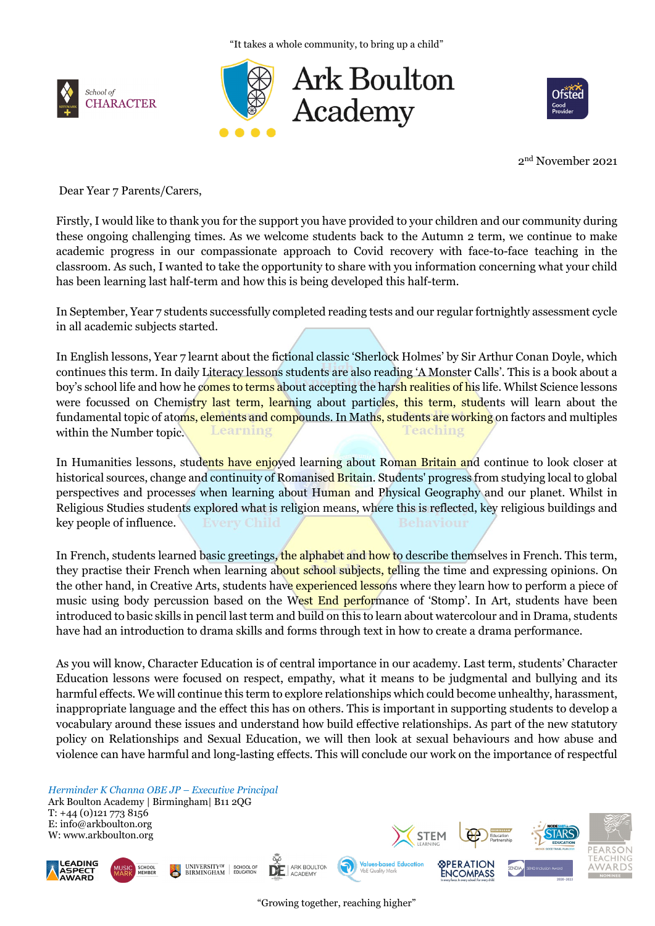"It takes a whole community, to bring up a child"







2nd November 2021

Dear Year 7 Parents/Carers,

Firstly, I would like to thank you for the support you have provided to your children and our community during these ongoing challenging times. As we welcome students back to the Autumn 2 term, we continue to make academic progress in our compassionate approach to Covid recovery with face-to-face teaching in the classroom. As such, I wanted to take the opportunity to share with you information concerning what your child has been learning last half-term and how this is being developed this half-term.

In September, Year 7 students successfully completed reading tests and our regular fortnightly assessment cycle in all academic subjects started.

In English lessons, Year 7 learnt about the fictional classic 'Sherlock Holmes' by Sir Arthur Conan Doyle, which continues this term. In daily Literacy lessons students are also reading 'A Monster Calls'. This is a book about a boy's school life and how he comes to terms about accepting the harsh realities of his life. Whilst Science lessons were focussed on Chemistry last term, learning about particles, this term, students will learn about the fundamental topic of atoms, elements and compounds. In Maths, students are working on factors and multiples within the Number topic. Learning Feaching

In Humanities lessons, students have enjoyed learning about Roman Britain and continue to look closer at historical sources, change and continuity of Romanised Britain. Students' progress from studying local to global perspectives and processes when learning about Human and Physical Geography and our planet. Whilst in Religious Studies students explored what is religion means, where this is reflected, key religious buildings and key people of influence.

In French, students learned basic greetings, the alphabet and how to describe themselves in French. This term, they practise their French when learning about school subjects, telling the time and expressing opinions. On the other hand, in Creative Arts, students have experienced lessons where they learn how to perform a piece of music using body percussion based on the West End performance of 'Stomp'. In Art, students have been introduced to basic skills in pencil last term and build on this to learn about watercolour and in Drama, students have had an introduction to drama skills and forms through text in how to create a drama performance.

As you will know, Character Education is of central importance in our academy. Last term, students' Character Education lessons were focused on respect, empathy, what it means to be judgmental and bullying and its harmful effects. We will continue this term to explore relationships which could become unhealthy, harassment, inappropriate language and the effect this has on others. This is important in supporting students to develop a vocabulary around these issues and understand how build effective relationships. As part of the new statutory policy on Relationships and Sexual Education, we will then look at sexual behaviours and how abuse and violence can have harmful and long-lasting effects. This will conclude our work on the importance of respectful

*Herminder K Channa OBE JP – Executive Principal*

UNIVERSITY<sup>OF</sup> SCHOOL OF<br>BIRMINGHAM EDUCATION

Ark Boulton Academy | Birmingham| B11 2QG T: +44 (0)121 773 8156 E: info@arkboulton.org W: www.arkboulton.org





VbE Quality Mar

ARK BOULTON<br>ACADEMY

DE

**STEM** 

**SPERATION** 

ENCOMPASS